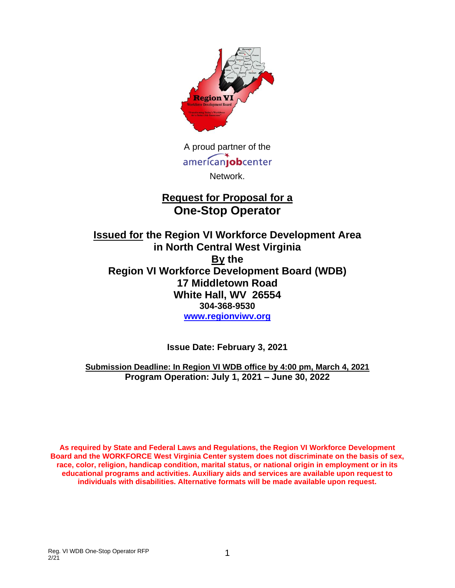

A proud partner of the americanjobcenter Network.

# **Request for Proposal for a One-Stop Operator**

**Issued for the Region VI Workforce Development Area in North Central West Virginia By the Region VI Workforce Development Board (WDB) 17 Middletown Road White Hall, WV 26554 304-368-9530 [www.regionviwv.org](http://www.regionviwv.org/)**

**Issue Date: February 3, 2021** 

**Submission Deadline: In Region VI WDB office by 4:00 pm, March 4, 2021 Program Operation: July 1, 2021 – June 30, 2022**

**As required by State and Federal Laws and Regulations, the Region VI Workforce Development Board and the WORKFORCE West Virginia Center system does not discriminate on the basis of sex, race, color, religion, handicap condition, marital status, or national origin in employment or in its educational programs and activities. Auxiliary aids and services are available upon request to individuals with disabilities. Alternative formats will be made available upon request.**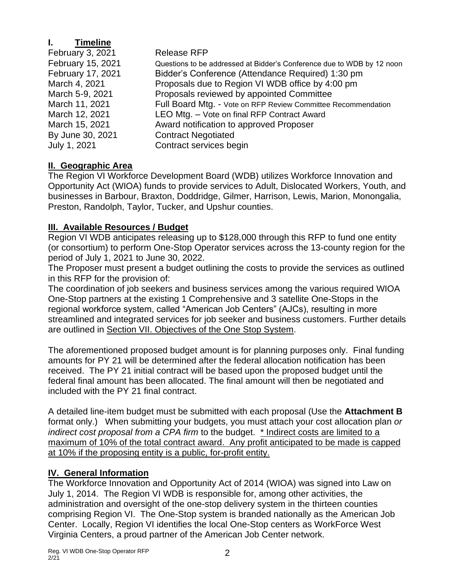# **I. Timeline**

| February 3, 2021  | <b>Release RFP</b>                                                     |
|-------------------|------------------------------------------------------------------------|
| February 15, 2021 | Questions to be addressed at Bidder's Conference due to WDB by 12 noon |
| February 17, 2021 | Bidder's Conference (Attendance Required) 1:30 pm                      |
| March 4, 2021     | Proposals due to Region VI WDB office by 4:00 pm                       |
| March 5-9, 2021   | Proposals reviewed by appointed Committee                              |
| March 11, 2021    | Full Board Mtg. - Vote on RFP Review Committee Recommendation          |
| March 12, 2021    | LEO Mtg. - Vote on final RFP Contract Award                            |
| March 15, 2021    | Award notification to approved Proposer                                |
| By June 30, 2021  | <b>Contract Negotiated</b>                                             |
| July 1, 2021      | Contract services begin                                                |

# **II. Geographic Area**

The Region VI Workforce Development Board (WDB) utilizes Workforce Innovation and Opportunity Act (WIOA) funds to provide services to Adult, Dislocated Workers, Youth, and businesses in Barbour, Braxton, Doddridge, Gilmer, Harrison, Lewis, Marion, Monongalia, Preston, Randolph, Taylor, Tucker, and Upshur counties.

# **III. Available Resources / Budget**

Region VI WDB anticipates releasing up to \$128,000 through this RFP to fund one entity (or consortium) to perform One-Stop Operator services across the 13-county region for the period of July 1, 2021 to June 30, 2022.

The Proposer must present a budget outlining the costs to provide the services as outlined in this RFP for the provision of:

The coordination of job seekers and business services among the various required WIOA One-Stop partners at the existing 1 Comprehensive and 3 satellite One-Stops in the regional workforce system, called "American Job Centers" (AJCs), resulting in more streamlined and integrated services for job seeker and business customers. Further details are outlined in Section VII. Objectives of the One Stop System.

The aforementioned proposed budget amount is for planning purposes only. Final funding amounts for PY 21 will be determined after the federal allocation notification has been received. The PY 21 initial contract will be based upon the proposed budget until the federal final amount has been allocated. The final amount will then be negotiated and included with the PY 21 final contract.

A detailed line-item budget must be submitted with each proposal (Use the **Attachment B** format only.) When submitting your budgets, you must attach your cost allocation plan *or indirect cost proposal from a CPA firm* to the budget. \* Indirect costs are limited to a maximum of 10% of the total contract award. Any profit anticipated to be made is capped at 10% if the proposing entity is a public, for-profit entity.

# **IV. General Information**

The Workforce Innovation and Opportunity Act of 2014 (WIOA) was signed into Law on July 1, 2014. The Region VI WDB is responsible for, among other activities, the administration and oversight of the one-stop delivery system in the thirteen counties comprising Region VI. The One-Stop system is branded nationally as the American Job Center. Locally, Region VI identifies the local One-Stop centers as WorkForce West Virginia Centers, a proud partner of the American Job Center network.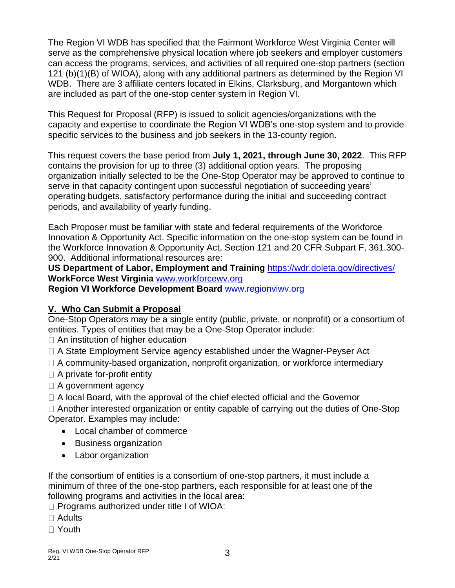The Region VI WDB has specified that the Fairmont Workforce West Virginia Center will serve as the comprehensive physical location where job seekers and employer customers can access the programs, services, and activities of all required one-stop partners (section 121 (b)(1)(B) of WIOA), along with any additional partners as determined by the Region VI WDB. There are 3 affiliate centers located in Elkins, Clarksburg, and Morgantown which are included as part of the one-stop center system in Region VI.

This Request for Proposal (RFP) is issued to solicit agencies/organizations with the capacity and expertise to coordinate the Region VI WDB's one-stop system and to provide specific services to the business and job seekers in the 13-county region.

This request covers the base period from **July 1, 2021, through June 30, 2022**. This RFP contains the provision for up to three (3) additional option years. The proposing organization initially selected to be the One-Stop Operator may be approved to continue to serve in that capacity contingent upon successful negotiation of succeeding years' operating budgets, satisfactory performance during the initial and succeeding contract periods, and availability of yearly funding.

Each Proposer must be familiar with state and federal requirements of the Workforce Innovation & Opportunity Act. Specific information on the one-stop system can be found in the Workforce Innovation & Opportunity Act, Section 121 and 20 CFR Subpart F, 361.300- 900. Additional informational resources are:

**US Department of Labor, Employment and Training** https://wdr.doleta.gov/directives/ **WorkForce West Virginia** www.workforcewv.org

**Region VI Workforce Development Board** [www.regionviwv.org](http://www.regionviwv.org/)

# **V. Who Can Submit a Proposal**

One-Stop Operators may be a single entity (public, private, or nonprofit) or a consortium of entities. Types of entities that may be a One-Stop Operator include:

- □ An institution of higher education
- □ A State Employment Service agency established under the Wagner-Peyser Act
- $\Box$  A community-based organization, nonprofit organization, or workforce intermediary
- $\Box$  A private for-profit entity
- □ A government agency
- $\Box$  A local Board, with the approval of the chief elected official and the Governor

 $\Box$  Another interested organization or entity capable of carrying out the duties of One-Stop Operator. Examples may include:

- Local chamber of commerce
- Business organization
- Labor organization

If the consortium of entities is a consortium of one-stop partners, it must include a minimum of three of the one-stop partners, each responsible for at least one of the following programs and activities in the local area:

 $\Box$  Programs authorized under title I of WIOA:

- Adults
- Youth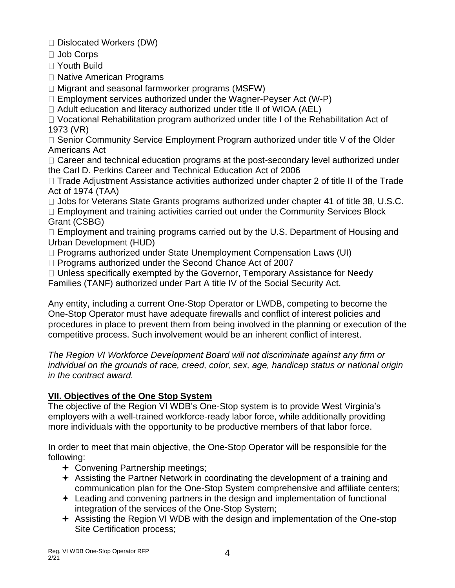Dislocated Workers (DW)

□ Job Corps

Youth Build

□ Native American Programs

 $\Box$  Migrant and seasonal farmworker programs (MSFW)

 $\Box$  Employment services authorized under the Wagner-Peyser Act (W-P)

 $\Box$  Adult education and literacy authorized under title II of WIOA (AEL)

Vocational Rehabilitation program authorized under title I of the Rehabilitation Act of 1973 (VR)

 $\Box$  Senior Community Service Employment Program authorized under title V of the Older Americans Act

 $\Box$  Career and technical education programs at the post-secondary level authorized under the Carl D. Perkins Career and Technical Education Act of 2006

 $\Box$  Trade Adjustment Assistance activities authorized under chapter 2 of title II of the Trade Act of 1974 (TAA)

 $\Box$  Jobs for Veterans State Grants programs authorized under chapter 41 of title 38, U.S.C.

 $\Box$  Employment and training activities carried out under the Community Services Block Grant (CSBG)

 $\Box$  Employment and training programs carried out by the U.S. Department of Housing and Urban Development (HUD)

□ Programs authorized under State Unemployment Compensation Laws (UI)

 $\Box$  Programs authorized under the Second Chance Act of 2007

 $\Box$  Unless specifically exempted by the Governor, Temporary Assistance for Needy

Families (TANF) authorized under Part A title IV of the Social Security Act.

Any entity, including a current One-Stop Operator or LWDB, competing to become the One-Stop Operator must have adequate firewalls and conflict of interest policies and procedures in place to prevent them from being involved in the planning or execution of the competitive process. Such involvement would be an inherent conflict of interest.

*The Region VI Workforce Development Board will not discriminate against any firm or individual on the grounds of race, creed, color, sex, age, handicap status or national origin in the contract award.*

# **VII. Objectives of the One Stop System**

The objective of the Region VI WDB's One-Stop system is to provide West Virginia's employers with a well-trained workforce-ready labor force, while additionally providing more individuals with the opportunity to be productive members of that labor force.

In order to meet that main objective, the One-Stop Operator will be responsible for the following:

- Convening Partnership meetings;
- Assisting the Partner Network in coordinating the development of a training and communication plan for the One-Stop System comprehensive and affiliate centers;
- Leading and convening partners in the design and implementation of functional integration of the services of the One-Stop System;
- Assisting the Region VI WDB with the design and implementation of the One-stop Site Certification process;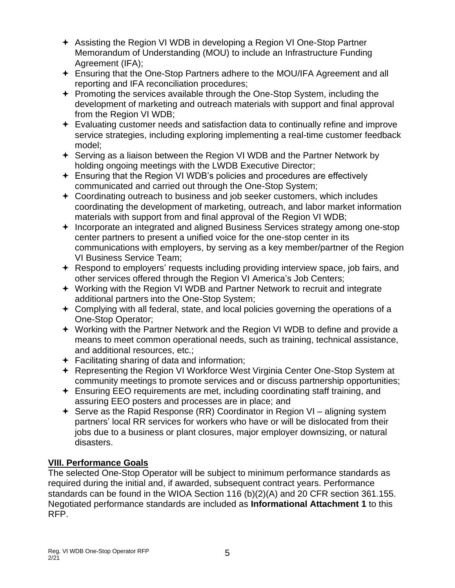- Assisting the Region VI WDB in developing a Region VI One-Stop Partner Memorandum of Understanding (MOU) to include an Infrastructure Funding Agreement (IFA);
- Ensuring that the One-Stop Partners adhere to the MOU/IFA Agreement and all reporting and IFA reconciliation procedures;
- + Promoting the services available through the One-Stop System, including the development of marketing and outreach materials with support and final approval from the Region VI WDB;
- Evaluating customer needs and satisfaction data to continually refine and improve service strategies, including exploring implementing a real-time customer feedback model;
- $\div$  Serving as a liaison between the Region VI WDB and the Partner Network by holding ongoing meetings with the LWDB Executive Director;
- Ensuring that the Region VI WDB's policies and procedures are effectively communicated and carried out through the One-Stop System;
- Coordinating outreach to business and job seeker customers, which includes coordinating the development of marketing, outreach, and labor market information materials with support from and final approval of the Region VI WDB;
- $+$  Incorporate an integrated and aligned Business Services strategy among one-stop center partners to present a unified voice for the one-stop center in its communications with employers, by serving as a key member/partner of the Region VI Business Service Team;
- Respond to employers' requests including providing interview space, job fairs, and other services offered through the Region VI America's Job Centers;
- Working with the Region VI WDB and Partner Network to recruit and integrate additional partners into the One-Stop System;
- Complying with all federal, state, and local policies governing the operations of a One-Stop Operator;
- Working with the Partner Network and the Region VI WDB to define and provide a means to meet common operational needs, such as training, technical assistance, and additional resources, etc.;
- Facilitating sharing of data and information;
- Representing the Region VI Workforce West Virginia Center One-Stop System at community meetings to promote services and or discuss partnership opportunities;
- Ensuring EEO requirements are met, including coordinating staff training, and assuring EEO posters and processes are in place; and
- $\div$  Serve as the Rapid Response (RR) Coordinator in Region VI aligning system partners' local RR services for workers who have or will be dislocated from their jobs due to a business or plant closures, major employer downsizing, or natural disasters.

# **VIII. Performance Goals**

The selected One-Stop Operator will be subject to minimum performance standards as required during the initial and, if awarded, subsequent contract years. Performance standards can be found in the WIOA Section 116 (b)(2)(A) and 20 CFR section 361.155. Negotiated performance standards are included as **Informational Attachment 1** to this RFP.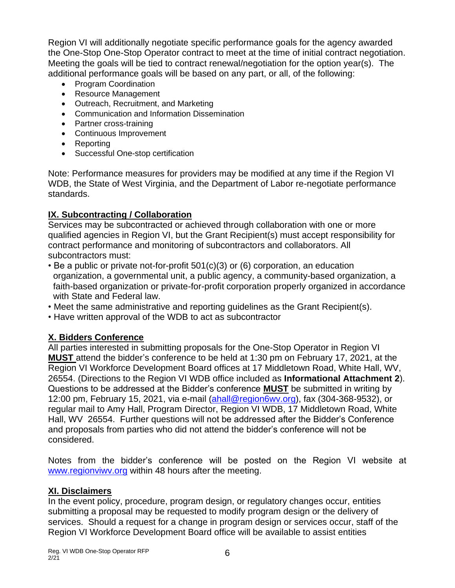Region VI will additionally negotiate specific performance goals for the agency awarded the One-Stop One-Stop Operator contract to meet at the time of initial contract negotiation. Meeting the goals will be tied to contract renewal/negotiation for the option year(s). The additional performance goals will be based on any part, or all, of the following:

- Program Coordination
- Resource Management
- Outreach, Recruitment, and Marketing
- Communication and Information Dissemination
- Partner cross-training
- Continuous Improvement
- Reporting
- Successful One-stop certification

Note: Performance measures for providers may be modified at any time if the Region VI WDB, the State of West Virginia, and the Department of Labor re-negotiate performance standards.

# **IX. Subcontracting / Collaboration**

Services may be subcontracted or achieved through collaboration with one or more qualified agencies in Region VI, but the Grant Recipient(s) must accept responsibility for contract performance and monitoring of subcontractors and collaborators. All subcontractors must:

- Be a public or private not-for-profit 501(c)(3) or (6) corporation, an education organization, a governmental unit, a public agency, a community-based organization, a faith-based organization or private-for-profit corporation properly organized in accordance with State and Federal law.
- Meet the same administrative and reporting guidelines as the Grant Recipient(s).
- Have written approval of the WDB to act as subcontractor

# **X. Bidders Conference**

All parties interested in submitting proposals for the One-Stop Operator in Region VI **MUST** attend the bidder's conference to be held at 1:30 pm on February 17, 2021, at the Region VI Workforce Development Board offices at 17 Middletown Road, White Hall, WV, 26554. (Directions to the Region VI WDB office included as **Informational Attachment 2**). Questions to be addressed at the Bidder's conference **MUST** be submitted in writing by 12:00 pm, February 15, 2021, via e-mail [\(ahall@region6wv.org\)](mailto:ahall@region6wv.org), fax (304-368-9532), or regular mail to Amy Hall, Program Director, Region VI WDB, 17 Middletown Road, White Hall, WV 26554. Further questions will not be addressed after the Bidder's Conference and proposals from parties who did not attend the bidder's conference will not be considered.

Notes from the bidder's conference will be posted on the Region VI website at [www.regionviwv.org](http://www.regionviwv.org/) within 48 hours after the meeting.

# **XI. Disclaimers**

In the event policy, procedure, program design, or regulatory changes occur, entities submitting a proposal may be requested to modify program design or the delivery of services. Should a request for a change in program design or services occur, staff of the Region VI Workforce Development Board office will be available to assist entities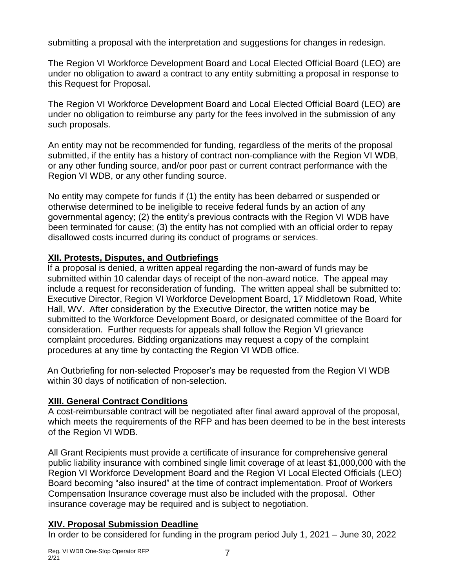submitting a proposal with the interpretation and suggestions for changes in redesign.

The Region VI Workforce Development Board and Local Elected Official Board (LEO) are under no obligation to award a contract to any entity submitting a proposal in response to this Request for Proposal.

The Region VI Workforce Development Board and Local Elected Official Board (LEO) are under no obligation to reimburse any party for the fees involved in the submission of any such proposals.

An entity may not be recommended for funding, regardless of the merits of the proposal submitted, if the entity has a history of contract non-compliance with the Region VI WDB, or any other funding source, and/or poor past or current contract performance with the Region VI WDB, or any other funding source.

No entity may compete for funds if (1) the entity has been debarred or suspended or otherwise determined to be ineligible to receive federal funds by an action of any governmental agency; (2) the entity's previous contracts with the Region VI WDB have been terminated for cause; (3) the entity has not complied with an official order to repay disallowed costs incurred during its conduct of programs or services.

#### **XII. Protests, Disputes, and Outbriefings**

 If a proposal is denied, a written appeal regarding the non-award of funds may be submitted within 10 calendar days of receipt of the non-award notice. The appeal may include a request for reconsideration of funding. The written appeal shall be submitted to: Executive Director, Region VI Workforce Development Board, 17 Middletown Road, White Hall, WV. After consideration by the Executive Director, the written notice may be submitted to the Workforce Development Board, or designated committee of the Board for consideration. Further requests for appeals shall follow the Region VI grievance complaint procedures. Bidding organizations may request a copy of the complaint procedures at any time by contacting the Region VI WDB office.

 An Outbriefing for non-selected Proposer's may be requested from the Region VI WDB within 30 days of notification of non-selection.

# **XIII. General Contract Conditions**

A cost-reimbursable contract will be negotiated after final award approval of the proposal, which meets the requirements of the RFP and has been deemed to be in the best interests of the Region VI WDB.

All Grant Recipients must provide a certificate of insurance for comprehensive general public liability insurance with combined single limit coverage of at least \$1,000,000 with the Region VI Workforce Development Board and the Region VI Local Elected Officials (LEO) Board becoming "also insured" at the time of contract implementation. Proof of Workers Compensation Insurance coverage must also be included with the proposal. Other insurance coverage may be required and is subject to negotiation.

# **XIV. Proposal Submission Deadline**

In order to be considered for funding in the program period July 1, 2021 – June 30, 2022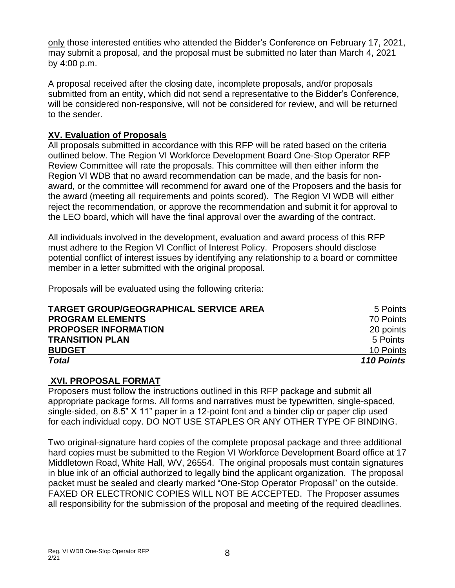only those interested entities who attended the Bidder's Conference on February 17, 2021, may submit a proposal, and the proposal must be submitted no later than March 4, 2021 by 4:00 p.m.

A proposal received after the closing date, incomplete proposals, and/or proposals submitted from an entity, which did not send a representative to the Bidder's Conference, will be considered non-responsive, will not be considered for review, and will be returned to the sender.

#### **XV. Evaluation of Proposals**

All proposals submitted in accordance with this RFP will be rated based on the criteria outlined below. The Region VI Workforce Development Board One-Stop Operator RFP Review Committee will rate the proposals. This committee will then either inform the Region VI WDB that no award recommendation can be made, and the basis for nonaward, or the committee will recommend for award one of the Proposers and the basis for the award (meeting all requirements and points scored). The Region VI WDB will either reject the recommendation, or approve the recommendation and submit it for approval to the LEO board, which will have the final approval over the awarding of the contract.

All individuals involved in the development, evaluation and award process of this RFP must adhere to the Region VI Conflict of Interest Policy. Proposers should disclose potential conflict of interest issues by identifying any relationship to a board or committee member in a letter submitted with the original proposal.

Proposals will be evaluated using the following criteria:

| <b>TARGET GROUP/GEOGRAPHICAL SERVICE AREA</b> | 5 Points   |
|-----------------------------------------------|------------|
| <b>PROGRAM ELEMENTS</b>                       | 70 Points  |
| <b>PROPOSER INFORMATION</b>                   | 20 points  |
| <b>TRANSITION PLAN</b>                        | 5 Points   |
| <b>BUDGET</b>                                 | 10 Points  |
| <b>Total</b>                                  | 110 Points |

#### **XVI. PROPOSAL FORMAT**

Proposers must follow the instructions outlined in this RFP package and submit all appropriate package forms. All forms and narratives must be typewritten, single-spaced, single-sided, on 8.5" X 11" paper in a 12-point font and a binder clip or paper clip used for each individual copy. DO NOT USE STAPLES OR ANY OTHER TYPE OF BINDING.

Two original-signature hard copies of the complete proposal package and three additional hard copies must be submitted to the Region VI Workforce Development Board office at 17 Middletown Road, White Hall, WV, 26554. The original proposals must contain signatures in blue ink of an official authorized to legally bind the applicant organization. The proposal packet must be sealed and clearly marked "One-Stop Operator Proposal" on the outside. FAXED OR ELECTRONIC COPIES WILL NOT BE ACCEPTED. The Proposer assumes all responsibility for the submission of the proposal and meeting of the required deadlines.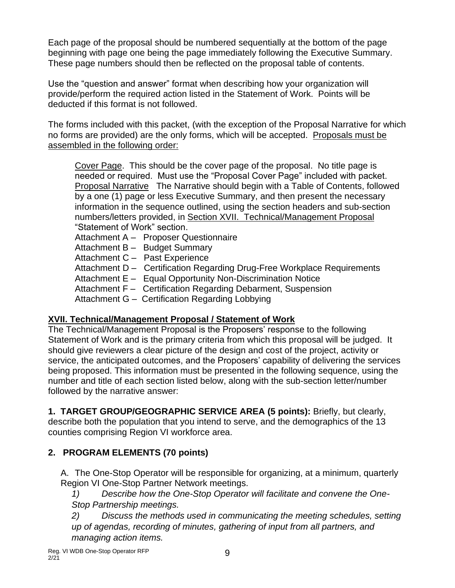Each page of the proposal should be numbered sequentially at the bottom of the page beginning with page one being the page immediately following the Executive Summary. These page numbers should then be reflected on the proposal table of contents.

Use the "question and answer" format when describing how your organization will provide/perform the required action listed in the Statement of Work. Points will be deducted if this format is not followed.

The forms included with this packet, (with the exception of the Proposal Narrative for which no forms are provided) are the only forms, which will be accepted. Proposals must be assembled in the following order:

Cover Page. This should be the cover page of the proposal. No title page is needed or required. Must use the "Proposal Cover Page" included with packet. Proposal Narrative The Narrative should begin with a Table of Contents, followed by a one (1) page or less Executive Summary, and then present the necessary information in the sequence outlined, using the section headers and sub-section numbers/letters provided, in Section XVII. Technical/Management Proposal "Statement of Work" section.

Attachment A – Proposer Questionnaire Attachment B – Budget Summary Attachment C – Past Experience Attachment D – Certification Regarding Drug-Free Workplace Requirements Attachment E – Equal Opportunity Non-Discrimination Notice Attachment F – Certification Regarding Debarment, Suspension Attachment G – Certification Regarding Lobbying

# **XVII. Technical/Management Proposal / Statement of Work**

The Technical/Management Proposal is the Proposers' response to the following Statement of Work and is the primary criteria from which this proposal will be judged. It should give reviewers a clear picture of the design and cost of the project, activity or service, the anticipated outcomes, and the Proposers' capability of delivering the services being proposed. This information must be presented in the following sequence, using the number and title of each section listed below, along with the sub-section letter/number followed by the narrative answer:

**1. TARGET GROUP/GEOGRAPHIC SERVICE AREA (5 points):** Briefly, but clearly, describe both the population that you intend to serve, and the demographics of the 13 counties comprising Region VI workforce area.

# **2. PROGRAM ELEMENTS (70 points)**

 A. The One-Stop Operator will be responsible for organizing, at a minimum, quarterly Region VI One-Stop Partner Network meetings.

*1) Describe how the One-Stop Operator will facilitate and convene the One-Stop Partnership meetings.* 

*2) Discuss the methods used in communicating the meeting schedules, setting up of agendas, recording of minutes, gathering of input from all partners, and managing action items.*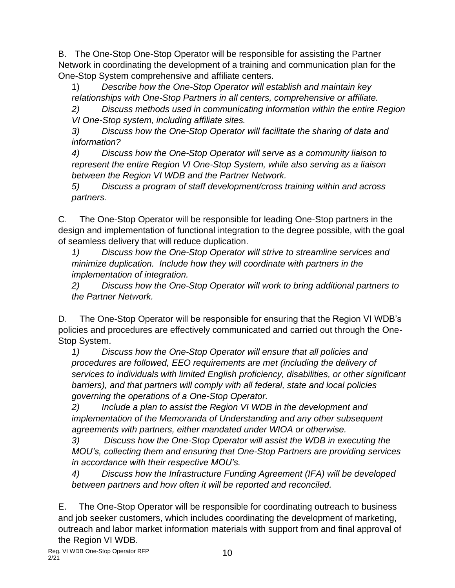B. The One-Stop One-Stop Operator will be responsible for assisting the Partner Network in coordinating the development of a training and communication plan for the One-Stop System comprehensive and affiliate centers.

1) *Describe how the One-Stop Operator will establish and maintain key relationships with One-Stop Partners in all centers, comprehensive or affiliate.* 

*2) Discuss methods used in communicating information within the entire Region VI One-Stop system, including affiliate sites.* 

*3) Discuss how the One-Stop Operator will facilitate the sharing of data and information?* 

*4) Discuss how the One-Stop Operator will serve as a community liaison to represent the entire Region VI One-Stop System, while also serving as a liaison between the Region VI WDB and the Partner Network.* 

*5) Discuss a program of staff development/cross training within and across partners.*

C. The One-Stop Operator will be responsible for leading One-Stop partners in the design and implementation of functional integration to the degree possible, with the goal of seamless delivery that will reduce duplication.

*1) Discuss how the One-Stop Operator will strive to streamline services and minimize duplication. Include how they will coordinate with partners in the implementation of integration.* 

*2) Discuss how the One-Stop Operator will work to bring additional partners to the Partner Network.*

D. The One-Stop Operator will be responsible for ensuring that the Region VI WDB's policies and procedures are effectively communicated and carried out through the One-Stop System.

*1) Discuss how the One-Stop Operator will ensure that all policies and procedures are followed, EEO requirements are met (including the delivery of services to individuals with limited English proficiency, disabilities, or other significant barriers), and that partners will comply with all federal, state and local policies governing the operations of a One-Stop Operator.* 

*2) Include a plan to assist the Region VI WDB in the development and implementation of the Memoranda of Understanding and any other subsequent agreements with partners, either mandated under WIOA or otherwise.* 

*3) Discuss how the One-Stop Operator will assist the WDB in executing the MOU's, collecting them and ensuring that One-Stop Partners are providing services in accordance with their respective MOU's.*

*4) Discuss how the Infrastructure Funding Agreement (IFA) will be developed between partners and how often it will be reported and reconciled.*

E. The One-Stop Operator will be responsible for coordinating outreach to business and job seeker customers, which includes coordinating the development of marketing, outreach and labor market information materials with support from and final approval of the Region VI WDB.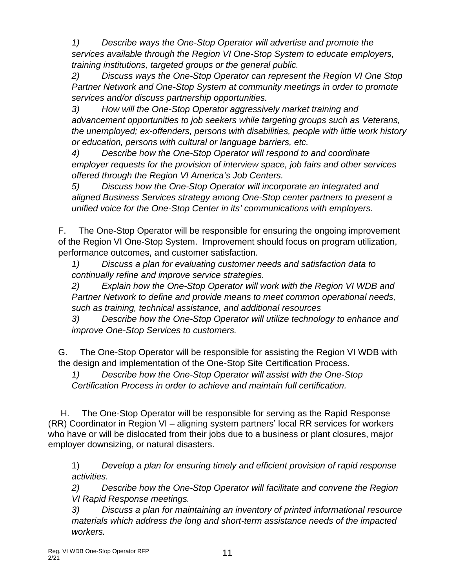*1) Describe ways the One-Stop Operator will advertise and promote the services available through the Region VI One-Stop System to educate employers, training institutions, targeted groups or the general public.* 

*2) Discuss ways the One-Stop Operator can represent the Region VI One Stop Partner Network and One-Stop System at community meetings in order to promote services and/or discuss partnership opportunities.*

*3) How will the One-Stop Operator aggressively market training and advancement opportunities to job seekers while targeting groups such as Veterans, the unemployed; ex-offenders, persons with disabilities, people with little work history or education, persons with cultural or language barriers, etc.* 

*4) Describe how the One-Stop Operator will respond to and coordinate employer requests for the provision of interview space, job fairs and other services offered through the Region VI America's Job Centers.*

*5) Discuss how the One-Stop Operator will incorporate an integrated and aligned Business Services strategy among One-Stop center partners to present a unified voice for the One-Stop Center in its' communications with employers.*

F. The One-Stop Operator will be responsible for ensuring the ongoing improvement of the Region VI One-Stop System. Improvement should focus on program utilization, performance outcomes, and customer satisfaction.

*1) Discuss a plan for evaluating customer needs and satisfaction data to continually refine and improve service strategies.* 

*2) Explain how the One-Stop Operator will work with the Region VI WDB and Partner Network to define and provide means to meet common operational needs, such as training, technical assistance, and additional resources*

*3) Describe how the One-Stop Operator will utilize technology to enhance and improve One-Stop Services to customers.*

G. The One-Stop Operator will be responsible for assisting the Region VI WDB with the design and implementation of the One-Stop Site Certification Process.

*1) Describe how the One-Stop Operator will assist with the One-Stop Certification Process in order to achieve and maintain full certification.*

 H. The One-Stop Operator will be responsible for serving as the Rapid Response (RR) Coordinator in Region VI – aligning system partners' local RR services for workers who have or will be dislocated from their jobs due to a business or plant closures, major employer downsizing, or natural disasters.

1) *Develop a plan for ensuring timely and efficient provision of rapid response activities.*

*2) Describe how the One-Stop Operator will facilitate and convene the Region VI Rapid Response meetings.* 

*3) Discuss a plan for maintaining an inventory of printed informational resource materials which address the long and short-term assistance needs of the impacted workers.*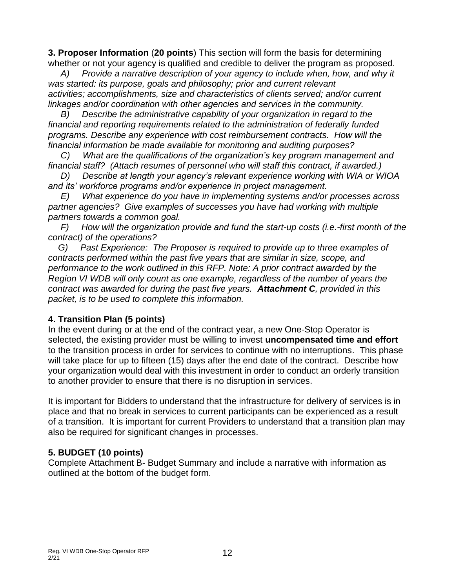**3. Proposer Information** (**20 points**) This section will form the basis for determining whether or not your agency is qualified and credible to deliver the program as proposed.

 *A) Provide a narrative description of your agency to include when, how, and why it was started: its purpose, goals and philosophy; prior and current relevant activities; accomplishments, size and characteristics of clients served; and/or current linkages and/or coordination with other agencies and services in the community.* 

 *B) Describe the administrative capability of your organization in regard to the financial and reporting requirements related to the administration of federally funded programs. Describe any experience with cost reimbursement contracts. How will the financial information be made available for monitoring and auditing purposes?* 

 *C) What are the qualifications of the organization's key program management and financial staff? (Attach resumes of personnel who will staff this contract, if awarded.)* 

 *D) Describe at length your agency's relevant experience working with WIA or WIOA and its' workforce programs and/or experience in project management.* 

 *E) What experience do you have in implementing systems and/or processes across partner agencies? Give examples of successes you have had working with multiple partners towards a common goal.* 

 *F) How will the organization provide and fund the start-up costs (i.e.-first month of the contract) of the operations?* 

 *G) Past Experience: The Proposer is required to provide up to three examples of contracts performed within the past five years that are similar in size, scope, and performance to the work outlined in this RFP. Note: A prior contract awarded by the Region VI WDB will only count as one example, regardless of the number of years the contract was awarded for during the past five years. Attachment C, provided in this packet, is to be used to complete this information.* 

# **4. Transition Plan (5 points)**

In the event during or at the end of the contract year, a new One-Stop Operator is selected, the existing provider must be willing to invest **uncompensated time and effort** to the transition process in order for services to continue with no interruptions. This phase will take place for up to fifteen (15) days after the end date of the contract. Describe how your organization would deal with this investment in order to conduct an orderly transition to another provider to ensure that there is no disruption in services.

It is important for Bidders to understand that the infrastructure for delivery of services is in place and that no break in services to current participants can be experienced as a result of a transition. It is important for current Providers to understand that a transition plan may also be required for significant changes in processes.

# **5. BUDGET (10 points)**

Complete Attachment B- Budget Summary and include a narrative with information as outlined at the bottom of the budget form.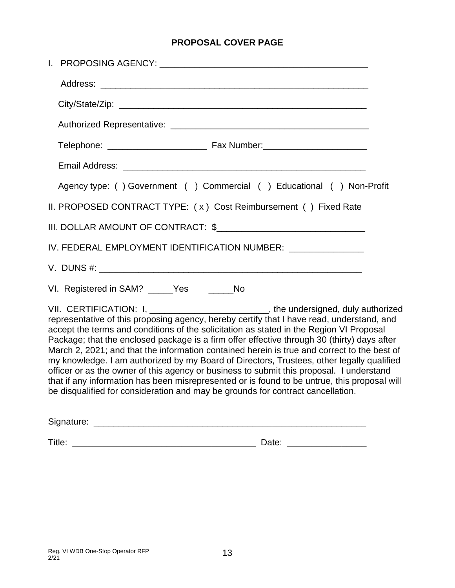# **PROPOSAL COVER PAGE**

|                                                                                                                                                                                                                                                                                                                                                                                                                                                                                                                                                                                                                                                                                                                                                                                                                                                      | Agency type: () Government () Commercial () Educational () Non-Profit |  |  |
|------------------------------------------------------------------------------------------------------------------------------------------------------------------------------------------------------------------------------------------------------------------------------------------------------------------------------------------------------------------------------------------------------------------------------------------------------------------------------------------------------------------------------------------------------------------------------------------------------------------------------------------------------------------------------------------------------------------------------------------------------------------------------------------------------------------------------------------------------|-----------------------------------------------------------------------|--|--|
|                                                                                                                                                                                                                                                                                                                                                                                                                                                                                                                                                                                                                                                                                                                                                                                                                                                      | II. PROPOSED CONTRACT TYPE: (x) Cost Reimbursement () Fixed Rate      |  |  |
|                                                                                                                                                                                                                                                                                                                                                                                                                                                                                                                                                                                                                                                                                                                                                                                                                                                      | III. DOLLAR AMOUNT OF CONTRACT: \$                                    |  |  |
|                                                                                                                                                                                                                                                                                                                                                                                                                                                                                                                                                                                                                                                                                                                                                                                                                                                      | IV. FEDERAL EMPLOYMENT IDENTIFICATION NUMBER: ______________          |  |  |
|                                                                                                                                                                                                                                                                                                                                                                                                                                                                                                                                                                                                                                                                                                                                                                                                                                                      |                                                                       |  |  |
|                                                                                                                                                                                                                                                                                                                                                                                                                                                                                                                                                                                                                                                                                                                                                                                                                                                      | VI. Registered in SAM? _____Yes ______No                              |  |  |
| VII. CERTIFICATION: I, _________________________, the undersigned, duly authorized<br>representative of this proposing agency, hereby certify that I have read, understand, and<br>accept the terms and conditions of the solicitation as stated in the Region VI Proposal<br>Package; that the enclosed package is a firm offer effective through 30 (thirty) days after<br>March 2, 2021; and that the information contained herein is true and correct to the best of<br>my knowledge. I am authorized by my Board of Directors, Trustees, other legally qualified<br>officer or as the owner of this agency or business to submit this proposal. I understand<br>that if any information has been misrepresented or is found to be untrue, this proposal will<br>be disqualified for consideration and may be grounds for contract cancellation. |                                                                       |  |  |
|                                                                                                                                                                                                                                                                                                                                                                                                                                                                                                                                                                                                                                                                                                                                                                                                                                                      |                                                                       |  |  |

Title: \_\_\_\_\_\_\_\_\_\_\_\_\_\_\_\_\_\_\_\_\_\_\_\_\_\_\_\_\_\_\_\_\_\_\_\_\_ Date: \_\_\_\_\_\_\_\_\_\_\_\_\_\_\_\_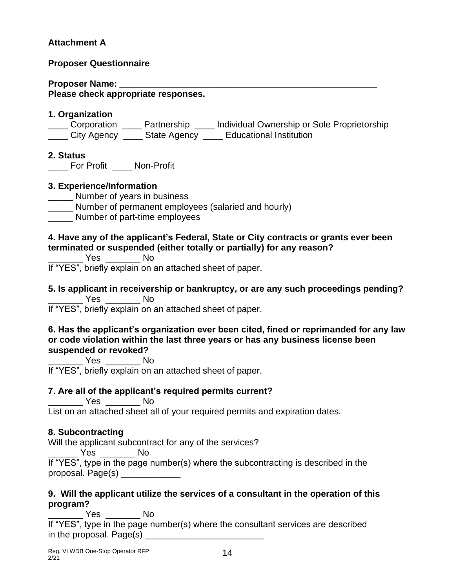# **Attachment A**

#### **Proposer Questionnaire**

**Proposer Name: \_\_\_\_\_\_\_\_\_\_\_\_\_\_\_\_\_\_\_\_\_\_\_\_\_\_\_\_\_\_\_\_\_\_\_\_\_\_\_\_\_\_\_\_\_\_\_\_\_\_\_\_ Please check appropriate responses.**

#### **1. Organization**

\_\_\_\_ Corporation \_\_\_\_ Partnership \_\_\_\_ Individual Ownership or Sole Proprietorship \_\_\_\_ City Agency \_\_\_\_ State Agency \_\_\_\_ Educational Institution

#### **2. Status**

For Profit \_\_\_\_ Non-Profit

#### **3. Experience/Information**

- \_\_\_\_\_ Number of years in business
- \_\_\_\_\_ Number of permanent employees (salaried and hourly)
- \_\_\_\_\_ Number of part-time employees

#### **4. Have any of the applicant's Federal, State or City contracts or grants ever been terminated or suspended (either totally or partially) for any reason?**

\_\_\_\_\_\_\_ Yes \_\_\_\_\_\_\_ No

If "YES", briefly explain on an attached sheet of paper.

**5. Is applicant in receivership or bankruptcy, or are any such proceedings pending?** \_\_\_\_\_\_\_ Yes \_\_\_\_\_\_\_ No

If "YES", briefly explain on an attached sheet of paper.

#### **6. Has the applicant's organization ever been cited, fined or reprimanded for any law or code violation within the last three years or has any business license been suspended or revoked?**

\_\_\_\_\_\_\_ Yes \_\_\_\_\_\_\_ No If "YES", briefly explain on an attached sheet of paper.

# **7. Are all of the applicant's required permits current?**

\_\_\_\_\_\_\_ Yes \_\_\_\_\_\_\_ No

List on an attached sheet all of your required permits and expiration dates.

# **8. Subcontracting**

Will the applicant subcontract for any of the services?

\_\_\_\_\_\_ Yes \_\_\_\_\_\_\_ No

If "YES", type in the page number(s) where the subcontracting is described in the proposal. Page(s) \_\_\_\_\_\_\_\_\_\_\_\_

# **9. Will the applicant utilize the services of a consultant in the operation of this program?**

\_\_\_\_\_\_\_ Yes \_\_\_\_\_\_\_ No If "YES", type in the page number(s) where the consultant services are described in the proposal. Page(s) \_\_\_\_\_\_\_\_\_\_\_\_\_\_\_\_\_\_\_\_\_\_\_\_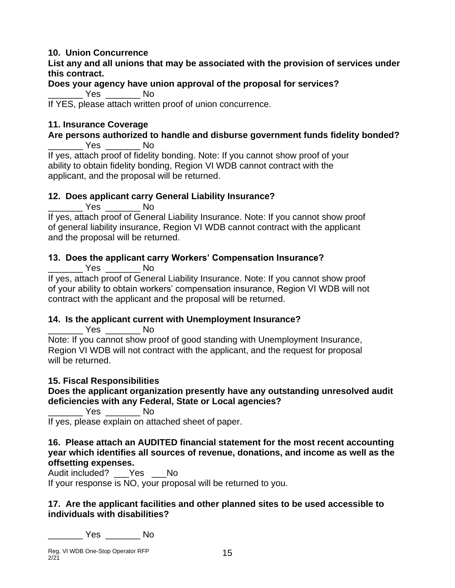# **10. Union Concurrence**

**List any and all unions that may be associated with the provision of services under this contract.**

#### **Does your agency have union approval of the proposal for services?** \_\_\_\_\_\_\_ Yes \_\_\_\_\_\_\_ No

If YES, please attach written proof of union concurrence.

# **11. Insurance Coverage**

#### **Are persons authorized to handle and disburse government funds fidelity bonded?** \_\_\_\_\_\_\_ Yes \_\_\_\_\_\_\_ No

If yes, attach proof of fidelity bonding. Note: If you cannot show proof of your ability to obtain fidelity bonding, Region VI WDB cannot contract with the applicant, and the proposal will be returned.

# **12. Does applicant carry General Liability Insurance?**

\_\_\_\_\_\_\_ Yes \_\_\_\_\_\_\_ No

If yes, attach proof of General Liability Insurance. Note: If you cannot show proof of general liability insurance, Region VI WDB cannot contract with the applicant and the proposal will be returned.

# **13. Does the applicant carry Workers' Compensation Insurance?**

\_\_\_\_\_\_\_ Yes \_\_\_\_\_\_\_ No

If yes, attach proof of General Liability Insurance. Note: If you cannot show proof of your ability to obtain workers' compensation insurance, Region VI WDB will not contract with the applicant and the proposal will be returned.

# **14. Is the applicant current with Unemployment Insurance?**

\_\_\_\_\_\_\_ Yes \_\_\_\_\_\_\_ No Note: If you cannot show proof of good standing with Unemployment Insurance, Region VI WDB will not contract with the applicant, and the request for proposal will be returned.

# **15. Fiscal Responsibilities**

**Does the applicant organization presently have any outstanding unresolved audit deficiencies with any Federal, State or Local agencies?**

\_\_\_\_\_\_\_ Yes \_\_\_\_\_\_\_ No

If yes, please explain on attached sheet of paper.

#### **16. Please attach an AUDITED financial statement for the most recent accounting year which identifies all sources of revenue, donations, and income as well as the offsetting expenses.**

Audit included? Yes No

If your response is NO, your proposal will be returned to you.

#### **17. Are the applicant facilities and other planned sites to be used accessible to individuals with disabilities?**

\_\_\_\_\_\_\_ Yes \_\_\_\_\_\_\_ No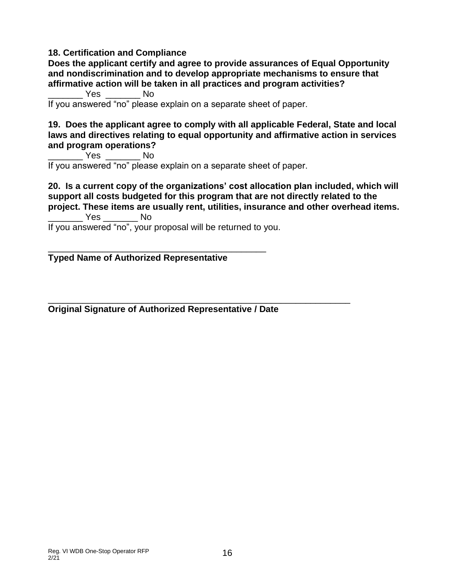#### **18. Certification and Compliance**

**Does the applicant certify and agree to provide assurances of Equal Opportunity and nondiscrimination and to develop appropriate mechanisms to ensure that affirmative action will be taken in all practices and program activities?**

\_\_\_\_\_\_\_ Yes \_\_\_\_\_\_\_ No

If you answered "no" please explain on a separate sheet of paper.

#### **19. Does the applicant agree to comply with all applicable Federal, State and local laws and directives relating to equal opportunity and affirmative action in services and program operations?**

\_\_\_\_\_\_\_ Yes \_\_\_\_\_\_\_ No If you answered "no" please explain on a separate sheet of paper.

**20. Is a current copy of the organizations' cost allocation plan included, which will support all costs budgeted for this program that are not directly related to the project. These items are usually rent, utilities, insurance and other overhead items.** \_\_\_\_\_\_\_ Yes \_\_\_\_\_\_\_ No

If you answered "no", your proposal will be returned to you.

\_\_\_\_\_\_\_\_\_\_\_\_\_\_\_\_\_\_\_\_\_\_\_\_\_\_\_\_\_\_\_\_\_\_\_\_\_\_\_\_\_\_\_\_

#### **Typed Name of Authorized Representative**

**Original Signature of Authorized Representative / Date**

\_\_\_\_\_\_\_\_\_\_\_\_\_\_\_\_\_\_\_\_\_\_\_\_\_\_\_\_\_\_\_\_\_\_\_\_\_\_\_\_\_\_\_\_\_\_\_\_\_\_\_\_\_\_\_\_\_\_\_\_\_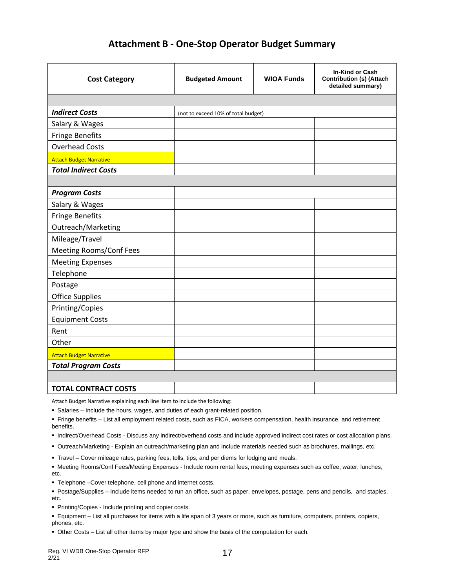# **Attachment B - One-Stop Operator Budget Summary**

| <b>Cost Category</b>           | <b>Budgeted Amount</b>              | <b>WIOA Funds</b> | In-Kind or Cash<br><b>Contribution (s) (Attach</b><br>detailed summary) |
|--------------------------------|-------------------------------------|-------------------|-------------------------------------------------------------------------|
|                                |                                     |                   |                                                                         |
| <b>Indirect Costs</b>          | (not to exceed 10% of total budget) |                   |                                                                         |
| Salary & Wages                 |                                     |                   |                                                                         |
| <b>Fringe Benefits</b>         |                                     |                   |                                                                         |
| <b>Overhead Costs</b>          |                                     |                   |                                                                         |
| <b>Attach Budget Narrative</b> |                                     |                   |                                                                         |
| <b>Total Indirect Costs</b>    |                                     |                   |                                                                         |
|                                |                                     |                   |                                                                         |
| <b>Program Costs</b>           |                                     |                   |                                                                         |
| Salary & Wages                 |                                     |                   |                                                                         |
| <b>Fringe Benefits</b>         |                                     |                   |                                                                         |
| Outreach/Marketing             |                                     |                   |                                                                         |
| Mileage/Travel                 |                                     |                   |                                                                         |
| <b>Meeting Rooms/Conf Fees</b> |                                     |                   |                                                                         |
| <b>Meeting Expenses</b>        |                                     |                   |                                                                         |
| Telephone                      |                                     |                   |                                                                         |
| Postage                        |                                     |                   |                                                                         |
| <b>Office Supplies</b>         |                                     |                   |                                                                         |
| Printing/Copies                |                                     |                   |                                                                         |
| <b>Equipment Costs</b>         |                                     |                   |                                                                         |
| Rent                           |                                     |                   |                                                                         |
| Other                          |                                     |                   |                                                                         |
| <b>Attach Budget Narrative</b> |                                     |                   |                                                                         |
| <b>Total Program Costs</b>     |                                     |                   |                                                                         |
|                                |                                     |                   |                                                                         |
| <b>TOTAL CONTRACT COSTS</b>    |                                     |                   |                                                                         |

Attach Budget Narrative explaining each line item to include the following:

▪ Salaries – Include the hours, wages, and duties of each grant-related position.

▪ Fringe benefits – List all employment related costs, such as FICA, workers compensation, health insurance, and retirement benefits.

- Indirect/Overhead Costs Discuss any indirect/overhead costs and include approved indirect cost rates or cost allocation plans.
- Outreach/Marketing Explain an outreach/marketing plan and include materials needed such as brochures, mailings, etc.
- Travel Cover mileage rates, parking fees, tolls, tips, and per diems for lodging and meals.
- Meeting Rooms/Conf Fees/Meeting Expenses Include room rental fees, meeting expenses such as coffee, water, lunches, etc.
- Telephone –Cover telephone, cell phone and internet costs.
- Postage/Supplies Include items needed to run an office, such as paper, envelopes, postage, pens and pencils, and staples, etc.
- **Printing/Copies Include printing and copier costs.**
- Equipment List all purchases for items with a life span of 3 years or more, such as furniture, computers, printers, copiers, phones, etc.
- **Other Costs List all other items by major type and show the basis of the computation for each.**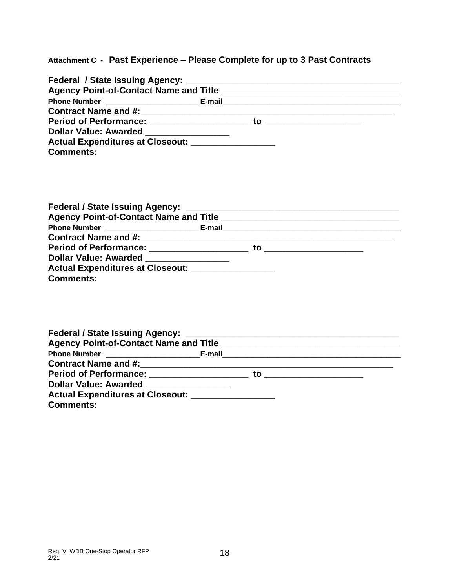# **Attachment C - Past Experience – Please Complete for up to 3 Past Contracts**

| Dollar Value: Awarded _______________               |  |
|-----------------------------------------------------|--|
| Actual Expenditures at Closeout: __________________ |  |
| <b>Comments:</b>                                    |  |

|                                       | Agency Point-of-Contact Name and Title <b>Example 2018</b> 2019 12:00:00 12:00:00 12:00:00 12:00:00 12:00:00 12:00:00 |  |
|---------------------------------------|-----------------------------------------------------------------------------------------------------------------------|--|
|                                       |                                                                                                                       |  |
|                                       |                                                                                                                       |  |
|                                       | to <u>__________</u> ___                                                                                              |  |
| Dollar Value: Awarded _______________ |                                                                                                                       |  |
|                                       |                                                                                                                       |  |
| <b>Comments:</b>                      |                                                                                                                       |  |

|                                                                                                                                                                                                                                     | Agency Point-of-Contact Name and Title <b>Example 2018</b> 2019 12:00:00 12:00:00 12:00:00 12:00:00 12:00:00 12:00:00 |
|-------------------------------------------------------------------------------------------------------------------------------------------------------------------------------------------------------------------------------------|-----------------------------------------------------------------------------------------------------------------------|
|                                                                                                                                                                                                                                     |                                                                                                                       |
|                                                                                                                                                                                                                                     |                                                                                                                       |
| <b>Period of Performance:</b> Period of Period and Period of Period and Period and Period and Period and Period and Period and Period and Period and Period and Period and Period and Period and Period and Period and Period and P | to                                                                                                                    |
| <b>Dollar Value: Awarded</b>                                                                                                                                                                                                        |                                                                                                                       |
| Actual Expenditures at Closeout: _______________                                                                                                                                                                                    |                                                                                                                       |
| <b>Comments:</b>                                                                                                                                                                                                                    |                                                                                                                       |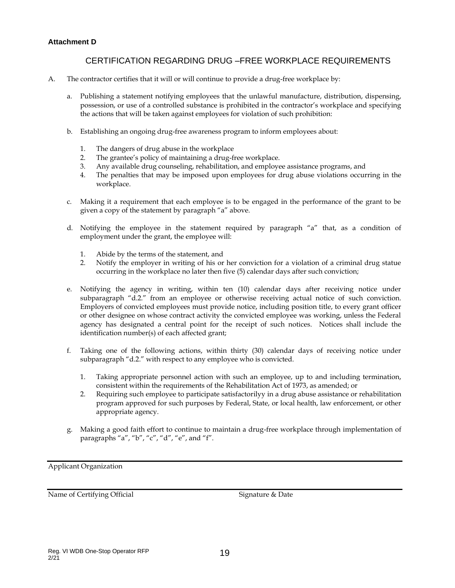#### **Attachment D**

#### CERTIFICATION REGARDING DRUG –FREE WORKPLACE REQUIREMENTS

- A. The contractor certifies that it will or will continue to provide a drug-free workplace by:
	- a. Publishing a statement notifying employees that the unlawful manufacture, distribution, dispensing, possession, or use of a controlled substance is prohibited in the contractor's workplace and specifying the actions that will be taken against employees for violation of such prohibition:
	- b. Establishing an ongoing drug-free awareness program to inform employees about:
		- 1. The dangers of drug abuse in the workplace
		- 2. The grantee's policy of maintaining a drug-free workplace.
		- 3. Any available drug counseling, rehabilitation, and employee assistance programs, and
		- 4. The penalties that may be imposed upon employees for drug abuse violations occurring in the workplace.
	- c. Making it a requirement that each employee is to be engaged in the performance of the grant to be given a copy of the statement by paragraph "a" above.
	- d. Notifying the employee in the statement required by paragraph "a" that, as a condition of employment under the grant, the employee will:
		- 1. Abide by the terms of the statement, and
		- 2. Notify the employer in writing of his or her conviction for a violation of a criminal drug statue occurring in the workplace no later then five (5) calendar days after such conviction;
	- e. Notifying the agency in writing, within ten (10) calendar days after receiving notice under subparagraph "d.2." from an employee or otherwise receiving actual notice of such conviction. Employers of convicted employees must provide notice, including position title, to every grant officer or other designee on whose contract activity the convicted employee was working, unless the Federal agency has designated a central point for the receipt of such notices. Notices shall include the identification number(s) of each affected grant;
	- f. Taking one of the following actions, within thirty (30) calendar days of receiving notice under subparagraph "d.2." with respect to any employee who is convicted.
		- 1. Taking appropriate personnel action with such an employee, up to and including termination, consistent within the requirements of the Rehabilitation Act of 1973, as amended; or
		- 2. Requiring such employee to participate satisfactorilyy in a drug abuse assistance or rehabilitation program approved for such purposes by Federal, State, or local health, law enforcement, or other appropriate agency.
	- g. Making a good faith effort to continue to maintain a drug-free workplace through implementation of paragraphs "a", "b", "c", "d", "e", and "f".

Applicant Organization

Name of Certifying Official Signature & Date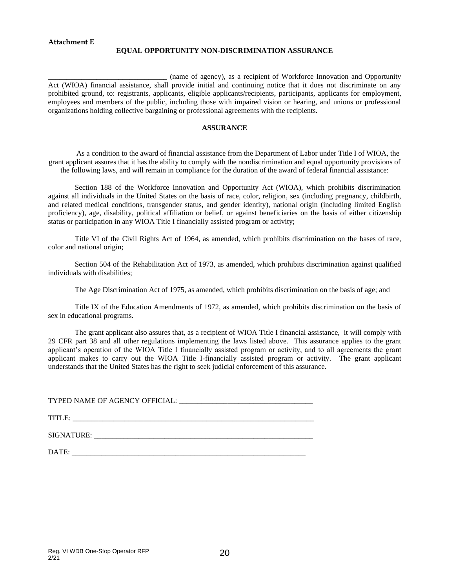#### **EQUAL OPPORTUNITY NON-DISCRIMINATION ASSURANCE**

**\_\_\_\_\_\_\_\_\_\_\_\_\_\_\_\_\_\_\_\_\_\_\_\_\_\_\_\_\_\_\_\_** (name of agency), as a recipient of Workforce Innovation and Opportunity Act (WIOA) financial assistance, shall provide initial and continuing notice that it does not discriminate on any prohibited ground, to: registrants, applicants, eligible applicants/recipients, participants, applicants for employment, employees and members of the public, including those with impaired vision or hearing, and unions or professional organizations holding collective bargaining or professional agreements with the recipients.

#### **ASSURANCE**

As a condition to the award of financial assistance from the Department of Labor under Title I of WIOA, the grant applicant assures that it has the ability to comply with the nondiscrimination and equal opportunity provisions of the following laws, and will remain in compliance for the duration of the award of federal financial assistance:

Section 188 of the Workforce Innovation and Opportunity Act (WIOA), which prohibits discrimination against all individuals in the United States on the basis of race, color, religion, sex (including pregnancy, childbirth, and related medical conditions, transgender status, and gender identity), national origin (including limited English proficiency), age, disability, political affiliation or belief, or against beneficiaries on the basis of either citizenship status or participation in any WIOA Title I financially assisted program or activity;

Title VI of the Civil Rights Act of 1964, as amended, which prohibits discrimination on the bases of race, color and national origin;

Section 504 of the Rehabilitation Act of 1973, as amended, which prohibits discrimination against qualified individuals with disabilities;

The Age Discrimination Act of 1975, as amended, which prohibits discrimination on the basis of age; and

Title IX of the Education Amendments of 1972, as amended, which prohibits discrimination on the basis of sex in educational programs.

The grant applicant also assures that, as a recipient of WIOA Title I financial assistance, it will comply with 29 CFR part 38 and all other regulations implementing the laws listed above. This assurance applies to the grant applicant's operation of the WIOA Title I financially assisted program or activity, and to all agreements the grant applicant makes to carry out the WIOA Title I-financially assisted program or activity. The grant applicant understands that the United States has the right to seek judicial enforcement of this assurance.

TYPED NAME OF AGENCY OFFICIAL: \_\_\_\_\_\_\_\_\_\_\_\_\_\_\_\_\_\_\_\_\_\_\_\_\_\_\_\_\_\_\_\_\_\_\_\_

TITLE: \_\_\_\_\_\_\_\_\_\_\_\_\_\_\_\_\_\_\_\_\_\_\_\_\_\_\_\_\_\_\_\_\_\_\_\_\_\_\_\_\_\_\_\_\_\_\_\_\_\_\_\_\_\_\_\_\_\_\_\_\_\_\_\_\_

SIGNATURE: \_\_\_\_\_\_\_\_\_\_\_\_\_\_\_\_\_\_\_\_\_\_\_\_\_\_\_\_\_\_\_\_\_\_\_\_\_\_\_\_\_\_\_\_\_\_\_\_\_\_\_\_\_\_\_\_\_\_\_

DATE: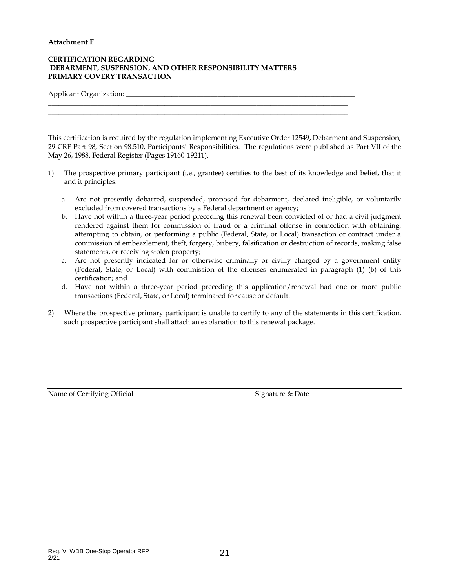#### **Attachment F**

#### **CERTIFICATION REGARDING DEBARMENT, SUSPENSION, AND OTHER RESPONSIBILITY MATTERS PRIMARY COVERY TRANSACTION**

 $\_$  , and the set of the set of the set of the set of the set of the set of the set of the set of the set of the set of the set of the set of the set of the set of the set of the set of the set of the set of the set of th  $\_$  , and the set of the set of the set of the set of the set of the set of the set of the set of the set of the set of the set of the set of the set of the set of the set of the set of the set of the set of the set of th

Applicant Organization:

This certification is required by the regulation implementing Executive Order 12549, Debarment and Suspension, 29 CRF Part 98, Section 98.510, Participants' Responsibilities. The regulations were published as Part VII of the May 26, 1988, Federal Register (Pages 19160-19211).

- 1) The prospective primary participant (i.e., grantee) certifies to the best of its knowledge and belief, that it and it principles:
	- a. Are not presently debarred, suspended, proposed for debarment, declared ineligible, or voluntarily excluded from covered transactions by a Federal department or agency;
	- b. Have not within a three-year period preceding this renewal been convicted of or had a civil judgment rendered against them for commission of fraud or a criminal offense in connection with obtaining, attempting to obtain, or performing a public (Federal, State, or Local) transaction or contract under a commission of embezzlement, theft, forgery, bribery, falsification or destruction of records, making false statements, or receiving stolen property;
	- c. Are not presently indicated for or otherwise criminally or civilly charged by a government entity (Federal, State, or Local) with commission of the offenses enumerated in paragraph (1) (b) of this certification; and
	- d. Have not within a three-year period preceding this application/renewal had one or more public transactions (Federal, State, or Local) terminated for cause or default.
- 2) Where the prospective primary participant is unable to certify to any of the statements in this certification, such prospective participant shall attach an explanation to this renewal package.

Name of Certifying Official Signature & Date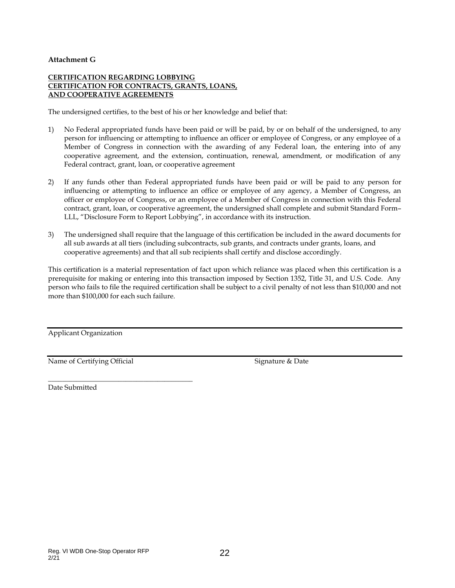#### **Attachment G**

#### **CERTIFICATION REGARDING LOBBYING CERTIFICATION FOR CONTRACTS, GRANTS, LOANS, AND COOPERATIVE AGREEMENTS**

The undersigned certifies, to the best of his or her knowledge and belief that:

- 1) No Federal appropriated funds have been paid or will be paid, by or on behalf of the undersigned, to any person for influencing or attempting to influence an officer or employee of Congress, or any employee of a Member of Congress in connection with the awarding of any Federal loan, the entering into of any cooperative agreement, and the extension, continuation, renewal, amendment, or modification of any Federal contract, grant, loan, or cooperative agreement
- 2) If any funds other than Federal appropriated funds have been paid or will be paid to any person for influencing or attempting to influence an office or employee of any agency, a Member of Congress, an officer or employee of Congress, or an employee of a Member of Congress in connection with this Federal contract, grant, loan, or cooperative agreement, the undersigned shall complete and submit Standard Form– LLL, "Disclosure Form to Report Lobbying", in accordance with its instruction.
- 3) The undersigned shall require that the language of this certification be included in the award documents for all sub awards at all tiers (including subcontracts, sub grants, and contracts under grants, loans, and cooperative agreements) and that all sub recipients shall certify and disclose accordingly.

This certification is a material representation of fact upon which reliance was placed when this certification is a prerequisite for making or entering into this transaction imposed by Section 1352, Title 31, and U.S. Code. Any person who fails to file the required certification shall be subject to a civil penalty of not less than \$10,000 and not more than \$100,000 for each such failure.

Applicant Organization

Name of Certifying Official Signature & Date

\_\_\_\_\_\_\_\_\_\_\_\_\_\_\_\_\_\_\_\_\_\_\_\_\_\_\_\_\_\_\_\_\_\_\_\_\_\_\_\_\_ Date Submitted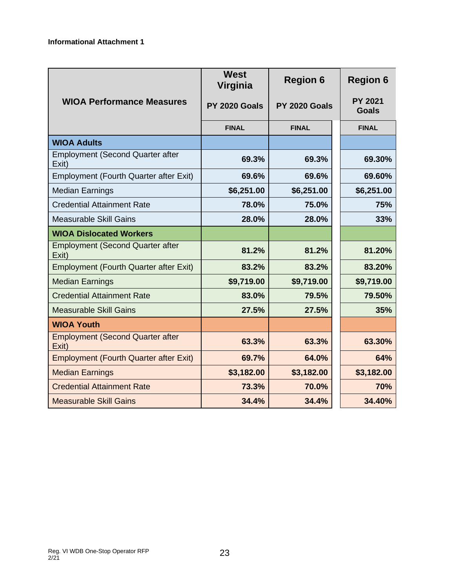|                                                  | <b>West</b><br>Virginia | <b>Region 6</b> | <b>Region 6</b>                |
|--------------------------------------------------|-------------------------|-----------------|--------------------------------|
| <b>WIOA Performance Measures</b>                 | PY 2020 Goals           | PY 2020 Goals   | <b>PY 2021</b><br><b>Goals</b> |
|                                                  | <b>FINAL</b>            | <b>FINAL</b>    | <b>FINAL</b>                   |
| <b>WIOA Adults</b>                               |                         |                 |                                |
| <b>Employment (Second Quarter after</b><br>Exit) | 69.3%                   | 69.3%           | 69.30%                         |
| <b>Employment (Fourth Quarter after Exit)</b>    | 69.6%                   | 69.6%           | 69.60%                         |
| <b>Median Earnings</b>                           | \$6,251.00              | \$6,251.00      | \$6,251.00                     |
| <b>Credential Attainment Rate</b>                | 78.0%                   | 75.0%           | 75%                            |
| <b>Measurable Skill Gains</b>                    | 28.0%                   | 28.0%           | 33%                            |
| <b>WIOA Dislocated Workers</b>                   |                         |                 |                                |
| <b>Employment (Second Quarter after</b><br>Exit) | 81.2%                   | 81.2%           | 81.20%                         |
| <b>Employment (Fourth Quarter after Exit)</b>    | 83.2%                   | 83.2%           | 83.20%                         |
| <b>Median Earnings</b>                           | \$9,719.00              | \$9,719.00      | \$9,719.00                     |
| <b>Credential Attainment Rate</b>                | 83.0%                   | 79.5%           | 79.50%                         |
| <b>Measurable Skill Gains</b>                    | 27.5%                   | 27.5%           | 35%                            |
| <b>WIOA Youth</b>                                |                         |                 |                                |
| <b>Employment (Second Quarter after</b><br>Exit) | 63.3%                   | 63.3%           | 63.30%                         |
| <b>Employment (Fourth Quarter after Exit)</b>    | 69.7%                   | 64.0%           | 64%                            |
| <b>Median Earnings</b>                           | \$3,182.00              | \$3,182.00      | \$3,182.00                     |
| <b>Credential Attainment Rate</b>                | 73.3%                   | 70.0%           | 70%                            |
| <b>Measurable Skill Gains</b>                    | 34.4%                   | 34.4%           | 34.40%                         |